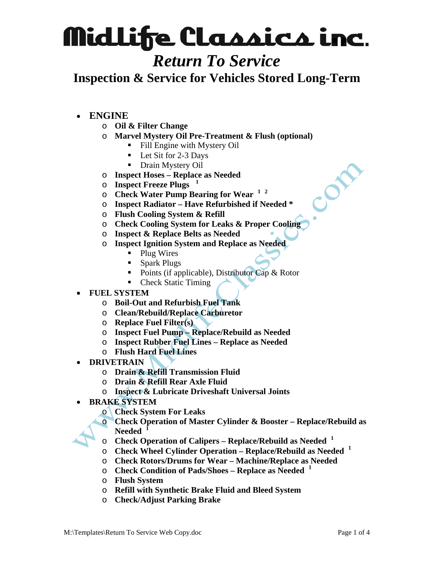#### *Return To Service*

**Inspection & Service for Vehicles Stored Long-Term** 

- **ENGINE**
	- o **Oil & Filter Change**
	- o **Marvel Mystery Oil Pre-Treatment & Flush (optional)**
		- Fill Engine with Mystery Oil
		- Let Sit for 2-3 Days
		- Drain Mystery Oil
	- o **Inspect Hoses Replace as Needed**
	- o **Inspect Freeze Plugs <sup>1</sup>**
	- o **Check Water Pump Bearing for Wear <sup>1</sup> 2**
	- o **Inspect Radiator Have Refurbished if Needed \***
	- o **Flush Cooling System & Refill**
	- o **Check Cooling System for Leaks & Proper Cooling**
	- o **Inspect & Replace Belts as Needed**
	- o **Inspect Ignition System and Replace as Needed** 
		- Plug Wires
		- Spark Plugs
		- Points (if applicable), Distributor Cap  $\&$  Rotor
		- Check Static Timing
- **FUEL SYSTEM** 
	- o **Boil-Out and Refurbish Fuel Tank**
	- o **Clean/Rebuild/Replace Carburetor**
	- o **Replace Fuel Filter(s)**
	- o **Inspect Fuel Pump Replace/Rebuild as Needed**
	- o **Inspect Rubber Fuel Lines Replace as Needed**
	- o **Flush Hard Fuel Lines**
- **DRIVETRAIN** 
	- o **Drain & Refill Transmission Fluid**
	- o **Drain & Refill Rear Axle Fluid**
	- o **Inspect & Lubricate Driveshaft Universal Joints**
- **BRAKE SYSTEM** 
	- o **Check System For Leaks**
	- o **Check Operation of Master Cylinder & Booster Replace/Rebuild as Needed <sup>1</sup>**
	- o **Check Operation of Calipers Replace/Rebuild as Needed <sup>1</sup>**
	- o **Check Wheel Cylinder Operation Replace/Rebuild as Needed <sup>1</sup>**
	- o **Check Rotors/Drums for Wear Machine/Replace as Needed**
	- o **Check Condition of Pads/Shoes Replace as Needed <sup>1</sup>**
	- o **Flush System**
	- o **Refill with Synthetic Brake Fluid and Bleed System**
	- o **Check/Adjust Parking Brake**

COM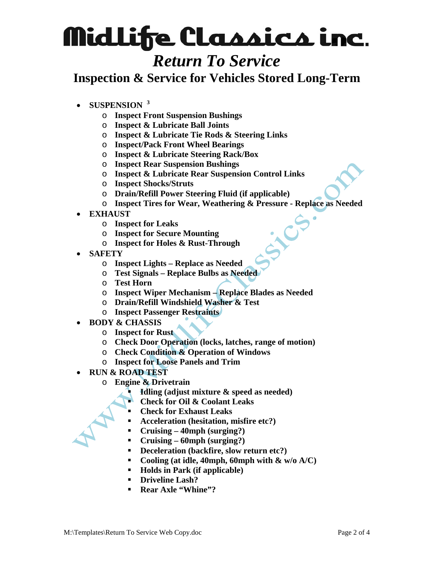### *Return To Service*

**Inspection & Service for Vehicles Stored Long-Term** 

- **SUSPENSION <sup>3</sup>**
	- o **Inspect Front Suspension Bushings**
	- o **Inspect & Lubricate Ball Joints**
	- o **Inspect & Lubricate Tie Rods & Steering Links**
	- o **Inspect/Pack Front Wheel Bearings**
	- o **Inspect & Lubricate Steering Rack/Box**
	- o **Inspect Rear Suspension Bushings**
	- o **Inspect & Lubricate Rear Suspension Control Links**
	- o **Inspect Shocks/Struts**
	- o **Drain/Refill Power Steering Fluid (if applicable)**
	- o **Inspect Tires for Wear, Weathering & Pressure Replace as Needed**
- **EXHAUST** 
	- o **Inspect for Leaks**
	- o **Inspect for Secure Mounting**
	- o **Inspect for Holes & Rust-Through**
- **SAFETY** 
	- o **Inspect Lights Replace as Needed**
	- o **Test Signals Replace Bulbs as Needed**
	- o **Test Horn**
	- o **Inspect Wiper Mechanism Replace Blades as Needed**
	- o **Drain/Refill Windshield Washer & Test**
	- o **Inspect Passenger Restraints**
- **BODY & CHASSIS** 
	- o **Inspect for Rust**
	- o **Check Door Operation (locks, latches, range of motion)**
	- o **Check Condition & Operation of Windows**
	- o **Inspect for Loose Panels and Trim**
- **RUN & ROAD TEST** 
	- o **Engine & Drivetrain** 
		- **Idling (adjust mixture & speed as needed)**
		- **Check for Oil & Coolant Leaks**
		- **Check for Exhaust Leaks**
		- **Acceleration (hesitation, misfire etc?)**
		- **Cruising 40mph (surging?)**
		- **Cruising 60mph (surging?)**
		- **Deceleration (backfire, slow return etc?)**
		- **Cooling (at idle, 40mph, 60mph with & w/o A/C)**
		- **Holds in Park (if applicable)**
		- **Driveline Lash?**
		- **Rear Axle "Whine"?**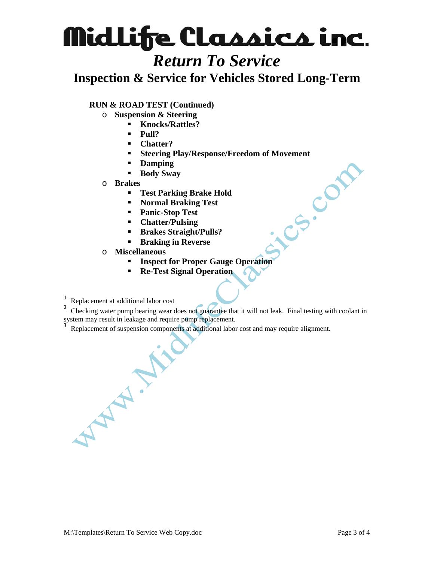### *Return To Service*

**Inspection & Service for Vehicles Stored Long-Term** 

#### **RUN & ROAD TEST (Continued)**

- o **Suspension & Steering** 
	- **Knocks/Rattles?** 
		- **Pull?**
	- **Chatter?**
	- Steering Play/Response/Freedom of Movement<br>Damping<br>Body Sway<br>Steering Brake Hold<br>Normal Braking Test<br>Panic-Stop Test<br>Chatter/Pulsing<br>Brakes Straight/Pulls<sup>?</sup><br>Braking in Parition of Praking in Parities.
	- **Damping**
	- **Body Sway**
- o **Brakes** 
	- **Test Parking Brake Hold**
	- **Normal Braking Test**
	- **Panic-Stop Test**
	- **Chatter/Pulsing**
	- **Brakes Straight/Pulls?**
	- **Braking in Reverse**
- o **Miscellaneous** 
	- **Inspect for Proper Gauge Operation**
	- **Re-Test Signal Operation**
- **1** Replacement at additional labor cost

**2** Checking water pump bearing wear does not guarantee that it will not leak. Final testing with coolant in system may result in leakage and require pump replacement.

**3** Replacement of suspension components at additional labor cost and may require alignment.